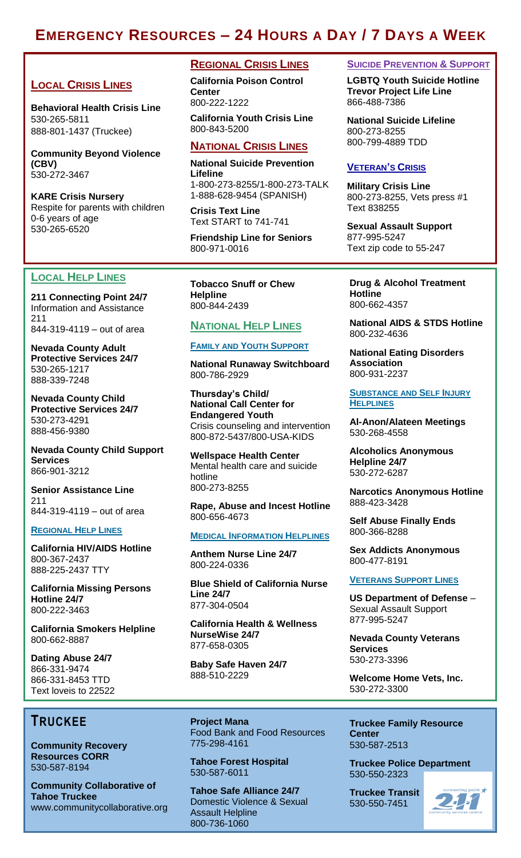# **EMERGENCY RESOURCES – 24 HOURS A DAY / 7 DAYS A WEEK**

# **LOCAL CRISIS LINES**

**Behavioral Health Crisis Line** 530-265-5811 888-801-1437 (Truckee)

**Community Beyond Violence (CBV)** 530-272-3467

**KARE Crisis Nursery** Respite for parents with children 0-6 years of age 530-265-6520

## **LOCAL HELP LINES**

I

**211 Connecting Point 24/7** Information and Assistance 211 844-319-4119 – out of area

**Nevada County Adult Protective Services 24/7** 530-265-1217 888-339-7248

**Nevada County Child Protective Services 24/7** 530-273-4291 888-456-9380

**Nevada County Child Support Services** 866-901-3212

**Senior Assistance Line** 211 844-319-4119 – out of area

#### **REGIONAL HELP LINES**

**California HIV/AIDS Hotline** 800-367-2437 888-225-2437 TTY

**California Missing Persons Hotline 24/7** 800-222-3463

**California Smokers Helpline** 800-662-8887

**Dating Abuse 24/7** 866-331-9474 866-331-8453 TTD Text loveis to 22522

### **REGIONAL CRISIS LINES**

**California Poison Control Center** 800-222-1222

**California Youth Crisis Line** 800-843-5200

# **NATIONAL CRISIS LINES**

**National Suicide Prevention Lifeline** 1-800-273-8255/1-800-273-TALK

1-888-628-9454 (SPANISH)

**Crisis Text Line** Text START to 741-741

**Friendship Line for Seniors** 800-971-0016

**Tobacco Snuff or Chew Helpline** 800-844-2439

### **NATIONAL HELP LINES**

#### **FAMILY AND YOUTH SUPPORT**

**National Runaway Switchboard** 800-786-2929

**Thursday's Child/ National Call Center for Endangered Youth** Crisis counseling and intervention 800-872-5437/800-USA-KIDS

**Wellspace Health Center** Mental health care and suicide hotline 800-273-8255

**Rape, Abuse and Incest Hotline** 800-656-4673

#### **MEDICAL INFORMATION HELPLINES**

**Anthem Nurse Line 24/7** 800-224-0336

**Blue Shield of California Nurse Line 24/7** 877-304-0504

**California Health & Wellness NurseWise 24/7** 877-658-0305

**Baby Safe Haven 24/7** 888-510-2229

**SUICIDE PREVENTION & SUPPORT**

**LGBTQ Youth Suicide Hotline Trevor Project Life Line** 866-488-7386

**National Suicide Lifeline** 800-273-8255 800-799-4889 TDD

#### **VETERAN'S CRISIS**

**Military Crisis Line** 800-273-8255, Vets press #1 Text 838255

**Sexual Assault Support**  877-995-5247 Text zip code to 55-247

**Drug & Alcohol Treatment Hotline** 800-662-4357

**National AIDS & STDS Hotline** 800-232-4636

**National Eating Disorders Association** 800-931-2237

**SUBSTANCE AND SELF INJURY HELPLINES**

**Al-Anon/Alateen Meetings** 530-268-4558

**Alcoholics Anonymous Helpline 24/7** 530-272-6287

**Narcotics Anonymous Hotline** 888-423-3428

**Self Abuse Finally Ends**  800-366-8288

**Sex Addicts Anonymous** 800-477-8191

#### **VETERANS SUPPORT LINES**

**US Department of Defense** – Sexual Assault Support 877-995-5247

**Nevada County Veterans Services** 530-273-3396

**Welcome Home Vets, Inc.** 530-272-3300

**Truckee Family Resource Center** 530-587-2513

**Truckee Police Department** 530-550-2323

**Truckee Transit** 530-550-7451



Tobacco Snuff or Chew **Snuff** or Chew **Snuff** or Chew Snuff or Chemical Chemical Chemical Chemical Chemical Chemical Chemical Chemical Chemical Chemical Chemical Chemical Chemical Chemical Chemical Chemical Chemical Chemic **Helpline TRUCKEE** 

 $\sim$ **Community Recovery Resources CORR**  530-587-8194

**Community Collaborative of Tahoe Truckee** www.communitycollaborative.org **Project Mana** Food Bank and Food Resources 775-298-4161

**Tahoe Forest Hospital** 530-587-6011

**Tahoe Safe Alliance 24/7** Domestic Violence & Sexual Assault Helpline 800-736-1060